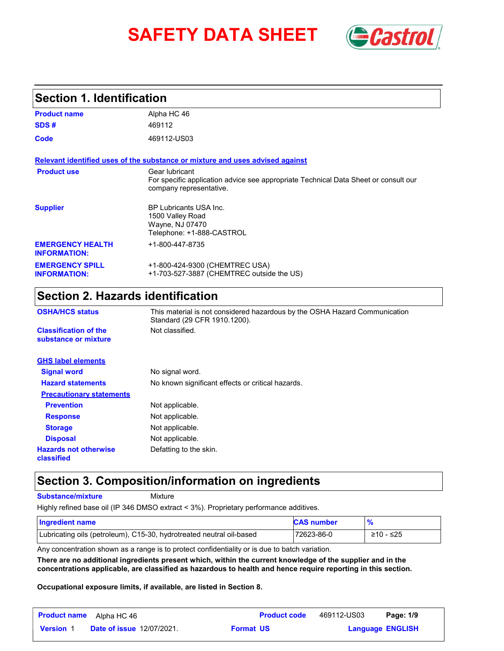# **SAFETY DATA SHEET** *Castrol*



#### **Section 1. Identification**

| <b>Product name</b>                            | Alpha HC 46                                                                                                                      |
|------------------------------------------------|----------------------------------------------------------------------------------------------------------------------------------|
| SDS#                                           | 469112                                                                                                                           |
| Code                                           | 469112-US03                                                                                                                      |
|                                                | Relevant identified uses of the substance or mixture and uses advised against                                                    |
| <b>Product use</b>                             | Gear lubricant<br>For specific application advice see appropriate Technical Data Sheet or consult our<br>company representative. |
| <b>Supplier</b>                                | <b>BP Lubricants USA Inc.</b><br>1500 Valley Road<br>Wayne, NJ 07470<br>Telephone: +1-888-CASTROL                                |
| <b>EMERGENCY HEALTH</b><br><b>INFORMATION:</b> | +1-800-447-8735                                                                                                                  |
| <b>EMERGENCY SPILL</b><br><b>INFORMATION:</b>  | +1-800-424-9300 (CHEMTREC USA)<br>+1-703-527-3887 (CHEMTREC outside the US)                                                      |

### **Section 2. Hazards identification**

| <b>OSHA/HCS status</b>                               | This material is not considered hazardous by the OSHA Hazard Communication<br>Standard (29 CFR 1910.1200). |
|------------------------------------------------------|------------------------------------------------------------------------------------------------------------|
| <b>Classification of the</b><br>substance or mixture | Not classified.                                                                                            |
| <b>GHS label elements</b>                            |                                                                                                            |
| <b>Signal word</b>                                   | No signal word.                                                                                            |
| <b>Hazard statements</b>                             | No known significant effects or critical hazards.                                                          |
| <b>Precautionary statements</b>                      |                                                                                                            |
| <b>Prevention</b>                                    | Not applicable.                                                                                            |
| <b>Response</b>                                      | Not applicable.                                                                                            |
| <b>Storage</b>                                       | Not applicable.                                                                                            |
| <b>Disposal</b>                                      | Not applicable.                                                                                            |
| <b>Hazards not otherwise</b><br>classified           | Defatting to the skin.                                                                                     |

#### **Section 3. Composition/information on ingredients**

**Substance/mixture**

Mixture

Highly refined base oil (IP 346 DMSO extract < 3%). Proprietary performance additives.

| Ingredient name                                                      | <b>CAS number</b> |             |
|----------------------------------------------------------------------|-------------------|-------------|
| Lubricating oils (petroleum), C15-30, hydrotreated neutral oil-based | 72623-86-0        | $≥10 - ≤25$ |

Any concentration shown as a range is to protect confidentiality or is due to batch variation.

**There are no additional ingredients present which, within the current knowledge of the supplier and in the concentrations applicable, are classified as hazardous to health and hence require reporting in this section.**

**Occupational exposure limits, if available, are listed in Section 8.**

| <b>Product name</b> | Alpha HC 46                      |                  | <b>Product code</b> | 469112-US03 | Page: 1/9               |  |
|---------------------|----------------------------------|------------------|---------------------|-------------|-------------------------|--|
| <b>Version 1</b>    | <b>Date of issue 12/07/2021.</b> | <b>Format US</b> |                     |             | <b>Language ENGLISH</b> |  |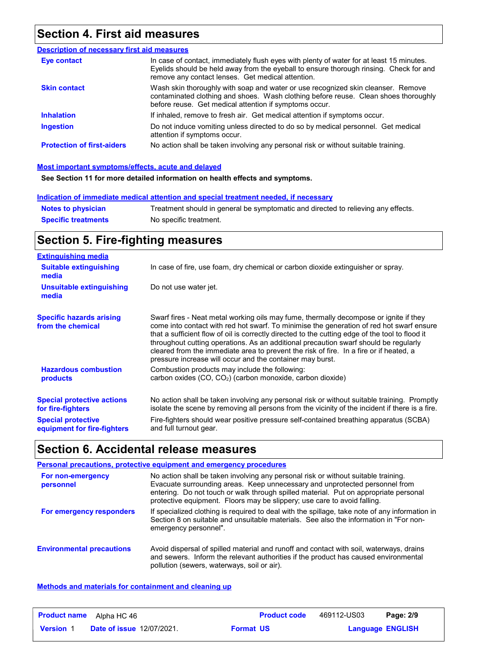#### **Section 4. First aid measures**

| <b>Description of necessary first aid measures</b> |                                                                                                                                                                                                                                         |
|----------------------------------------------------|-----------------------------------------------------------------------------------------------------------------------------------------------------------------------------------------------------------------------------------------|
| Eye contact                                        | In case of contact, immediately flush eyes with plenty of water for at least 15 minutes.<br>Eyelids should be held away from the eyeball to ensure thorough rinsing. Check for and<br>remove any contact lenses. Get medical attention. |
| <b>Skin contact</b>                                | Wash skin thoroughly with soap and water or use recognized skin cleanser. Remove<br>contaminated clothing and shoes. Wash clothing before reuse. Clean shoes thoroughly<br>before reuse. Get medical attention if symptoms occur.       |
| <b>Inhalation</b>                                  | If inhaled, remove to fresh air. Get medical attention if symptoms occur.                                                                                                                                                               |
| <b>Ingestion</b>                                   | Do not induce vomiting unless directed to do so by medical personnel. Get medical<br>attention if symptoms occur.                                                                                                                       |
| <b>Protection of first-aiders</b>                  | No action shall be taken involving any personal risk or without suitable training.                                                                                                                                                      |

#### **Most important symptoms/effects, acute and delayed**

**See Section 11 for more detailed information on health effects and symptoms.**

#### **Indication of immediate medical attention and special treatment needed, if necessary**

| <b>Notes to physician</b>  | Treatment should in general be symptomatic and directed to relieving any effects. |
|----------------------------|-----------------------------------------------------------------------------------|
| <b>Specific treatments</b> | No specific treatment.                                                            |

### **Section 5. Fire-fighting measures**

| <b>Extinguishing media</b>                                                                                         |                                                                                                                                                                                                                                                                                                                                                                                                                                                                                                                                     |
|--------------------------------------------------------------------------------------------------------------------|-------------------------------------------------------------------------------------------------------------------------------------------------------------------------------------------------------------------------------------------------------------------------------------------------------------------------------------------------------------------------------------------------------------------------------------------------------------------------------------------------------------------------------------|
| <b>Suitable extinguishing</b><br>media                                                                             | In case of fire, use foam, dry chemical or carbon dioxide extinguisher or spray.                                                                                                                                                                                                                                                                                                                                                                                                                                                    |
| Unsuitable extinguishing<br>media                                                                                  | Do not use water jet.                                                                                                                                                                                                                                                                                                                                                                                                                                                                                                               |
| <b>Specific hazards arising</b><br>from the chemical                                                               | Swarf fires - Neat metal working oils may fume, thermally decompose or ignite if they<br>come into contact with red hot swarf. To minimise the generation of red hot swarf ensure<br>that a sufficient flow of oil is correctly directed to the cutting edge of the tool to flood it<br>throughout cutting operations. As an additional precaution swarf should be regularly<br>cleared from the immediate area to prevent the risk of fire. In a fire or if heated, a<br>pressure increase will occur and the container may burst. |
| <b>Hazardous combustion</b><br>products                                                                            | Combustion products may include the following:<br>carbon oxides (CO, CO <sub>2</sub> ) (carbon monoxide, carbon dioxide)                                                                                                                                                                                                                                                                                                                                                                                                            |
| <b>Special protective actions</b><br>for fire-fighters<br><b>Special protective</b><br>equipment for fire-fighters | No action shall be taken involving any personal risk or without suitable training. Promptly<br>isolate the scene by removing all persons from the vicinity of the incident if there is a fire.<br>Fire-fighters should wear positive pressure self-contained breathing apparatus (SCBA)<br>and full turnout gear.                                                                                                                                                                                                                   |

#### **Section 6. Accidental release measures**

|                                  | Personal precautions, protective equipment and emergency procedures                                                                                                                                                                                                                                                                   |
|----------------------------------|---------------------------------------------------------------------------------------------------------------------------------------------------------------------------------------------------------------------------------------------------------------------------------------------------------------------------------------|
| For non-emergency<br>personnel   | No action shall be taken involving any personal risk or without suitable training.<br>Evacuate surrounding areas. Keep unnecessary and unprotected personnel from<br>entering. Do not touch or walk through spilled material. Put on appropriate personal<br>protective equipment. Floors may be slippery; use care to avoid falling. |
| For emergency responders         | If specialized clothing is required to deal with the spillage, take note of any information in<br>Section 8 on suitable and unsuitable materials. See also the information in "For non-<br>emergency personnel".                                                                                                                      |
| <b>Environmental precautions</b> | Avoid dispersal of spilled material and runoff and contact with soil, waterways, drains<br>and sewers. Inform the relevant authorities if the product has caused environmental<br>pollution (sewers, waterways, soil or air).                                                                                                         |

#### **Methods and materials for containment and cleaning up**

| <b>Product name</b> | Alpha HC 46                      | <b>Product code</b> | 469112-US03 | Page: 2/9               |
|---------------------|----------------------------------|---------------------|-------------|-------------------------|
| <b>Version 1</b>    | <b>Date of issue 12/07/2021.</b> | <b>Format US</b>    |             | <b>Language ENGLISH</b> |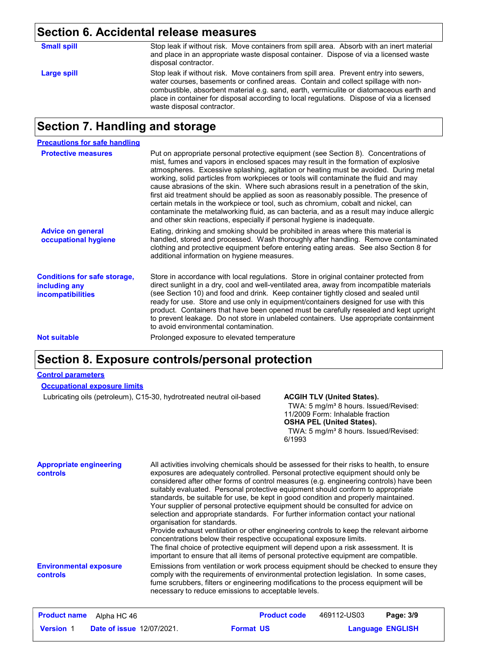### **Section 6. Accidental release measures**

| <b>Small spill</b> | Stop leak if without risk. Move containers from spill area. Absorb with an inert material<br>and place in an appropriate waste disposal container. Dispose of via a licensed waste<br>disposal contractor.                                                                                                                                                                                         |
|--------------------|----------------------------------------------------------------------------------------------------------------------------------------------------------------------------------------------------------------------------------------------------------------------------------------------------------------------------------------------------------------------------------------------------|
| Large spill        | Stop leak if without risk. Move containers from spill area. Prevent entry into sewers,<br>water courses, basements or confined areas. Contain and collect spillage with non-<br>combustible, absorbent material e.g. sand, earth, vermiculite or diatomaceous earth and<br>place in container for disposal according to local regulations. Dispose of via a licensed<br>waste disposal contractor. |

#### **Section 7. Handling and storage**

| <b>Precautions for safe handling</b>                                             |                                                                                                                                                                                                                                                                                                                                                                                                                                                                                                                                                                                                                                                                                                                                                                                                          |
|----------------------------------------------------------------------------------|----------------------------------------------------------------------------------------------------------------------------------------------------------------------------------------------------------------------------------------------------------------------------------------------------------------------------------------------------------------------------------------------------------------------------------------------------------------------------------------------------------------------------------------------------------------------------------------------------------------------------------------------------------------------------------------------------------------------------------------------------------------------------------------------------------|
| <b>Protective measures</b>                                                       | Put on appropriate personal protective equipment (see Section 8). Concentrations of<br>mist, fumes and vapors in enclosed spaces may result in the formation of explosive<br>atmospheres. Excessive splashing, agitation or heating must be avoided. During metal<br>working, solid particles from workpieces or tools will contaminate the fluid and may<br>cause abrasions of the skin. Where such abrasions result in a penetration of the skin,<br>first aid treatment should be applied as soon as reasonably possible. The presence of<br>certain metals in the workpiece or tool, such as chromium, cobalt and nickel, can<br>contaminate the metalworking fluid, as can bacteria, and as a result may induce allergic<br>and other skin reactions, especially if personal hygiene is inadequate. |
| <b>Advice on general</b><br>occupational hygiene                                 | Eating, drinking and smoking should be prohibited in areas where this material is<br>handled, stored and processed. Wash thoroughly after handling. Remove contaminated<br>clothing and protective equipment before entering eating areas. See also Section 8 for<br>additional information on hygiene measures.                                                                                                                                                                                                                                                                                                                                                                                                                                                                                         |
| <b>Conditions for safe storage,</b><br>including any<br><b>incompatibilities</b> | Store in accordance with local regulations. Store in original container protected from<br>direct sunlight in a dry, cool and well-ventilated area, away from incompatible materials<br>(see Section 10) and food and drink. Keep container tightly closed and sealed until<br>ready for use. Store and use only in equipment/containers designed for use with this<br>product. Containers that have been opened must be carefully resealed and kept upright<br>to prevent leakage. Do not store in unlabeled containers. Use appropriate containment<br>to avoid environmental contamination.                                                                                                                                                                                                            |
| <b>Not suitable</b>                                                              | Prolonged exposure to elevated temperature                                                                                                                                                                                                                                                                                                                                                                                                                                                                                                                                                                                                                                                                                                                                                               |

#### **Section 8. Exposure controls/personal protection**

#### **Control parameters**

| <b>Occupational exposure limits</b> |  |
|-------------------------------------|--|
|-------------------------------------|--|

Lubricating oils (petroleum), C15-30, hydrotreated neutral oil-based **ACGIH TLV (United States).**

TWA: 5 mg/m<sup>3</sup> 8 hours. Issued/Revised: 11/2009 Form: Inhalable fraction **OSHA PEL (United States).**

TWA: 5 mg/m<sup>3</sup> 8 hours. Issued/Revised: 6/1993

| <b>Appropriate engineering</b><br>controls | All activities involving chemicals should be assessed for their risks to health, to ensure<br>exposures are adequately controlled. Personal protective equipment should only be<br>considered after other forms of control measures (e.g. engineering controls) have been<br>suitably evaluated. Personal protective equipment should conform to appropriate<br>standards, be suitable for use, be kept in good condition and properly maintained.<br>Your supplier of personal protective equipment should be consulted for advice on<br>selection and appropriate standards. For further information contact your national<br>organisation for standards.<br>Provide exhaust ventilation or other engineering controls to keep the relevant airborne<br>concentrations below their respective occupational exposure limits.<br>The final choice of protective equipment will depend upon a risk assessment. It is<br>important to ensure that all items of personal protective equipment are compatible. |
|--------------------------------------------|------------------------------------------------------------------------------------------------------------------------------------------------------------------------------------------------------------------------------------------------------------------------------------------------------------------------------------------------------------------------------------------------------------------------------------------------------------------------------------------------------------------------------------------------------------------------------------------------------------------------------------------------------------------------------------------------------------------------------------------------------------------------------------------------------------------------------------------------------------------------------------------------------------------------------------------------------------------------------------------------------------|
| <b>Environmental exposure</b><br>controls  | Emissions from ventilation or work process equipment should be checked to ensure they<br>comply with the requirements of environmental protection legislation. In some cases,<br>fume scrubbers, filters or engineering modifications to the process equipment will be<br>necessary to reduce emissions to acceptable levels.                                                                                                                                                                                                                                                                                                                                                                                                                                                                                                                                                                                                                                                                              |

| <b>Product name</b> | Alpha HC 46                      | <b>Product code</b> | 469112-US03 | Page: 3/9               |
|---------------------|----------------------------------|---------------------|-------------|-------------------------|
| <b>Version 1</b>    | <b>Date of issue 12/07/2021.</b> | <b>Format US</b>    |             | <b>Language ENGLISH</b> |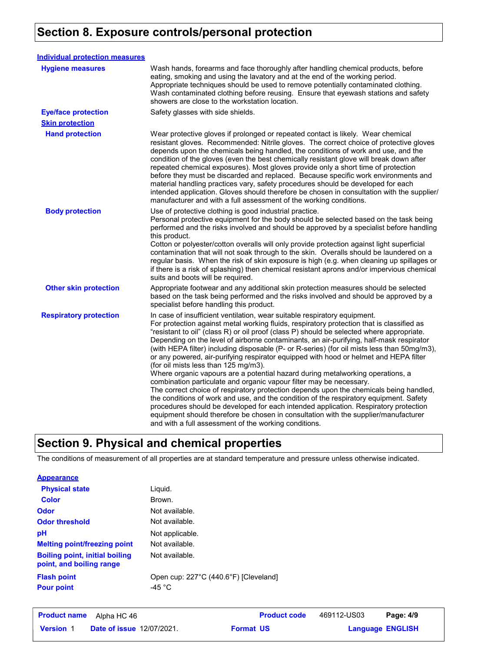### **Section 8. Exposure controls/personal protection**

| <b>Individual protection measures</b> |                                                                                                                                                                                                                                                                                                                                                                                                                                                                                                                                                                                                                                                                                                                                                                                                                                                                                                                                                                                                                                                                                                                                                                                     |
|---------------------------------------|-------------------------------------------------------------------------------------------------------------------------------------------------------------------------------------------------------------------------------------------------------------------------------------------------------------------------------------------------------------------------------------------------------------------------------------------------------------------------------------------------------------------------------------------------------------------------------------------------------------------------------------------------------------------------------------------------------------------------------------------------------------------------------------------------------------------------------------------------------------------------------------------------------------------------------------------------------------------------------------------------------------------------------------------------------------------------------------------------------------------------------------------------------------------------------------|
| <b>Hygiene measures</b>               | Wash hands, forearms and face thoroughly after handling chemical products, before<br>eating, smoking and using the lavatory and at the end of the working period.<br>Appropriate techniques should be used to remove potentially contaminated clothing.<br>Wash contaminated clothing before reusing. Ensure that eyewash stations and safety<br>showers are close to the workstation location.                                                                                                                                                                                                                                                                                                                                                                                                                                                                                                                                                                                                                                                                                                                                                                                     |
| <b>Eye/face protection</b>            | Safety glasses with side shields.                                                                                                                                                                                                                                                                                                                                                                                                                                                                                                                                                                                                                                                                                                                                                                                                                                                                                                                                                                                                                                                                                                                                                   |
| <b>Skin protection</b>                |                                                                                                                                                                                                                                                                                                                                                                                                                                                                                                                                                                                                                                                                                                                                                                                                                                                                                                                                                                                                                                                                                                                                                                                     |
| <b>Hand protection</b>                | Wear protective gloves if prolonged or repeated contact is likely. Wear chemical<br>resistant gloves. Recommended: Nitrile gloves. The correct choice of protective gloves<br>depends upon the chemicals being handled, the conditions of work and use, and the<br>condition of the gloves (even the best chemically resistant glove will break down after<br>repeated chemical exposures). Most gloves provide only a short time of protection<br>before they must be discarded and replaced. Because specific work environments and<br>material handling practices vary, safety procedures should be developed for each<br>intended application. Gloves should therefore be chosen in consultation with the supplier/<br>manufacturer and with a full assessment of the working conditions.                                                                                                                                                                                                                                                                                                                                                                                       |
| <b>Body protection</b>                | Use of protective clothing is good industrial practice.<br>Personal protective equipment for the body should be selected based on the task being<br>performed and the risks involved and should be approved by a specialist before handling<br>this product.<br>Cotton or polyester/cotton overalls will only provide protection against light superficial<br>contamination that will not soak through to the skin. Overalls should be laundered on a<br>regular basis. When the risk of skin exposure is high (e.g. when cleaning up spillages or<br>if there is a risk of splashing) then chemical resistant aprons and/or impervious chemical<br>suits and boots will be required.                                                                                                                                                                                                                                                                                                                                                                                                                                                                                               |
| <b>Other skin protection</b>          | Appropriate footwear and any additional skin protection measures should be selected<br>based on the task being performed and the risks involved and should be approved by a<br>specialist before handling this product.                                                                                                                                                                                                                                                                                                                                                                                                                                                                                                                                                                                                                                                                                                                                                                                                                                                                                                                                                             |
| <b>Respiratory protection</b>         | In case of insufficient ventilation, wear suitable respiratory equipment.<br>For protection against metal working fluids, respiratory protection that is classified as<br>"resistant to oil" (class R) or oil proof (class P) should be selected where appropriate.<br>Depending on the level of airborne contaminants, an air-purifying, half-mask respirator<br>(with HEPA filter) including disposable (P- or R-series) (for oil mists less than 50mg/m3),<br>or any powered, air-purifying respirator equipped with hood or helmet and HEPA filter<br>(for oil mists less than 125 mg/m3).<br>Where organic vapours are a potential hazard during metalworking operations, a<br>combination particulate and organic vapour filter may be necessary.<br>The correct choice of respiratory protection depends upon the chemicals being handled,<br>the conditions of work and use, and the condition of the respiratory equipment. Safety<br>procedures should be developed for each intended application. Respiratory protection<br>equipment should therefore be chosen in consultation with the supplier/manufacturer<br>and with a full assessment of the working conditions. |

### **Section 9. Physical and chemical properties**

The conditions of measurement of all properties are at standard temperature and pressure unless otherwise indicated.

#### **Appearance**

| <b>Physical state</b>                                             | Liquid.                                                   |
|-------------------------------------------------------------------|-----------------------------------------------------------|
| <b>Color</b>                                                      | Brown.                                                    |
| Odor                                                              | Not available.                                            |
| <b>Odor threshold</b>                                             | Not available.                                            |
| рH                                                                | Not applicable.                                           |
| <b>Melting point/freezing point</b>                               | Not available.                                            |
| <b>Boiling point, initial boiling</b><br>point, and boiling range | Not available.                                            |
| <b>Flash point</b><br><b>Pour point</b>                           | Open cup: 227°C (440.6°F) [Cleveland]<br>-45 $^{\circ}$ C |

| <b>Product name</b> | Alpha HC 46                      |                  | <b>Product code</b> | 469112-US03 | Page: 4/9               |
|---------------------|----------------------------------|------------------|---------------------|-------------|-------------------------|
| <b>Version 1</b>    | <b>Date of issue 12/07/2021.</b> | <b>Format US</b> |                     |             | <b>Language ENGLISH</b> |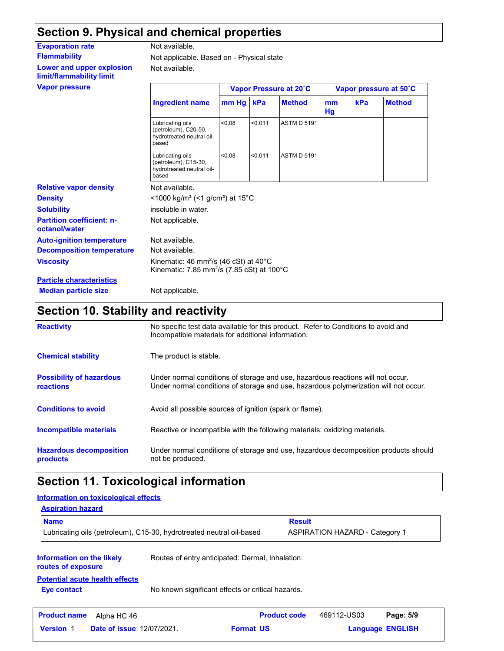### **Section 9. Physical and chemical properties**

| <b>Evaporation rate</b>                               | Not available.                                                                                                                    |        |         |                        |                        |     |               |
|-------------------------------------------------------|-----------------------------------------------------------------------------------------------------------------------------------|--------|---------|------------------------|------------------------|-----|---------------|
| <b>Flammability</b>                                   | Not applicable. Based on - Physical state                                                                                         |        |         |                        |                        |     |               |
| Lower and upper explosion<br>limit/flammability limit | Not available.                                                                                                                    |        |         |                        |                        |     |               |
| <b>Vapor pressure</b>                                 |                                                                                                                                   |        |         | Vapor Pressure at 20°C | Vapor pressure at 50°C |     |               |
|                                                       | <b>Ingredient name</b>                                                                                                            | mm Hg  | kPa     | <b>Method</b>          | mm<br>Hg               | kPa | <b>Method</b> |
|                                                       | Lubricating oils<br>(petroleum), C20-50,<br>hydrotreated neutral oil-<br>based                                                    | < 0.08 | < 0.011 | <b>ASTM D 5191</b>     |                        |     |               |
|                                                       | Lubricating oils<br>(petroleum), C15-30,<br>hydrotreated neutral oil-<br>based                                                    | < 0.08 | < 0.011 | <b>ASTM D 5191</b>     |                        |     |               |
| <b>Relative vapor density</b>                         | Not available.                                                                                                                    |        |         |                        |                        |     |               |
| <b>Density</b>                                        | <1000 kg/m <sup>3</sup> (<1 g/cm <sup>3</sup> ) at 15 <sup>°</sup> C                                                              |        |         |                        |                        |     |               |
| <b>Solubility</b>                                     | insoluble in water.                                                                                                               |        |         |                        |                        |     |               |
| <b>Partition coefficient: n-</b><br>octanol/water     | Not applicable.                                                                                                                   |        |         |                        |                        |     |               |
| <b>Auto-ignition temperature</b>                      | Not available.                                                                                                                    |        |         |                        |                        |     |               |
| <b>Decomposition temperature</b>                      | Not available.                                                                                                                    |        |         |                        |                        |     |               |
| <b>Viscosity</b>                                      | Kinematic: 46 mm <sup>2</sup> /s (46 cSt) at 40 $^{\circ}$ C<br>Kinematic: 7.85 mm <sup>2</sup> /s (7.85 cSt) at 100 $^{\circ}$ C |        |         |                        |                        |     |               |
| <b>Darticlo charactorictice</b>                       |                                                                                                                                   |        |         |                        |                        |     |               |

**Particle characteristics Median particle size** Not applicable.

### **Section 10. Stability and reactivity**

| <b>Reactivity</b>                            | No specific test data available for this product. Refer to Conditions to avoid and<br>Incompatible materials for additional information.                                |
|----------------------------------------------|-------------------------------------------------------------------------------------------------------------------------------------------------------------------------|
| <b>Chemical stability</b>                    | The product is stable.                                                                                                                                                  |
| <b>Possibility of hazardous</b><br>reactions | Under normal conditions of storage and use, hazardous reactions will not occur.<br>Under normal conditions of storage and use, hazardous polymerization will not occur. |
| <b>Conditions to avoid</b>                   | Avoid all possible sources of ignition (spark or flame).                                                                                                                |
| Incompatible materials                       | Reactive or incompatible with the following materials: oxidizing materials.                                                                                             |
| <b>Hazardous decomposition</b><br>products   | Under normal conditions of storage and use, hazardous decomposition products should<br>not be produced.                                                                 |

## **Section 11. Toxicological information**

| Information on toxicological effects                        |                                                                      |                     |                                       |  |  |  |
|-------------------------------------------------------------|----------------------------------------------------------------------|---------------------|---------------------------------------|--|--|--|
| <b>Aspiration hazard</b>                                    |                                                                      |                     |                                       |  |  |  |
| <b>Name</b>                                                 |                                                                      |                     | <b>Result</b>                         |  |  |  |
|                                                             | Lubricating oils (petroleum), C15-30, hydrotreated neutral oil-based |                     | <b>ASPIRATION HAZARD - Category 1</b> |  |  |  |
| Information on the likely<br>routes of exposure             | Routes of entry anticipated: Dermal, Inhalation.                     |                     |                                       |  |  |  |
| <b>Potential acute health effects</b><br><b>Eye contact</b> | No known significant effects or critical hazards.                    |                     |                                       |  |  |  |
| <b>Product name</b><br>Alpha HC 46                          |                                                                      | <b>Product code</b> | 469112-US03<br>Page: 5/9              |  |  |  |
| <b>Date of issue 12/07/2021.</b><br><b>Version 1</b>        |                                                                      | <b>Format US</b>    | <b>Language ENGLISH</b>               |  |  |  |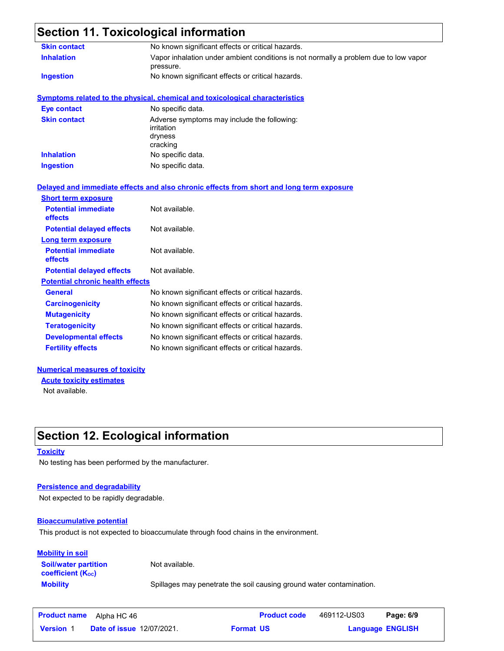### **Section 11. Toxicological information**

| <b>Skin contact</b>                     | No known significant effects or critical hazards.                                                 |
|-----------------------------------------|---------------------------------------------------------------------------------------------------|
| <b>Inhalation</b>                       | Vapor inhalation under ambient conditions is not normally a problem due to low vapor<br>pressure. |
| <b>Ingestion</b>                        | No known significant effects or critical hazards.                                                 |
|                                         | <b>Symptoms related to the physical, chemical and toxicological characteristics</b>               |
| <b>Eye contact</b>                      | No specific data.                                                                                 |
| <b>Skin contact</b>                     | Adverse symptoms may include the following:<br>irritation<br>dryness<br>cracking                  |
| <b>Inhalation</b>                       | No specific data.                                                                                 |
| <b>Ingestion</b>                        | No specific data.                                                                                 |
|                                         | Delayed and immediate effects and also chronic effects from short and long term exposure          |
| <b>Short term exposure</b>              |                                                                                                   |
| <b>Potential immediate</b><br>effects   | Not available.                                                                                    |
| <b>Potential delayed effects</b>        | Not available.                                                                                    |
| Long term exposure                      |                                                                                                   |
| <b>Potential immediate</b><br>effects   | Not available.                                                                                    |
| <b>Potential delayed effects</b>        | Not available.                                                                                    |
| <b>Potential chronic health effects</b> |                                                                                                   |
| <b>General</b>                          | No known significant effects or critical hazards.                                                 |
| <b>Carcinogenicity</b>                  | No known significant effects or critical hazards.                                                 |
| <b>Mutagenicity</b>                     | No known significant effects or critical hazards.                                                 |
| <b>Teratogenicity</b>                   | No known significant effects or critical hazards.                                                 |
| <b>Developmental effects</b>            | No known significant effects or critical hazards.                                                 |
| <b>Fertility effects</b>                | No known significant effects or critical hazards.                                                 |
|                                         |                                                                                                   |

#### **Numerical measures of toxicity**

Not available. **Acute toxicity estimates**

### **Section 12. Ecological information**

#### **Toxicity**

No testing has been performed by the manufacturer.

#### **Persistence and degradability**

Not expected to be rapidly degradable.

#### **Bioaccumulative potential**

This product is not expected to bioaccumulate through food chains in the environment.

#### **Mobility in soil**

**Soil/water partition coefficient (Koc)** 

Not available.

**Mobility** Spillages may penetrate the soil causing ground water contamination.

| <b>Product name</b> | Alpha HC 46                      | <b>Product code</b> | 469112-US03 | Page: 6/9               |  |
|---------------------|----------------------------------|---------------------|-------------|-------------------------|--|
| <b>Version 1</b>    | <b>Date of issue 12/07/2021.</b> | <b>Format US</b>    |             | <b>Language ENGLISH</b> |  |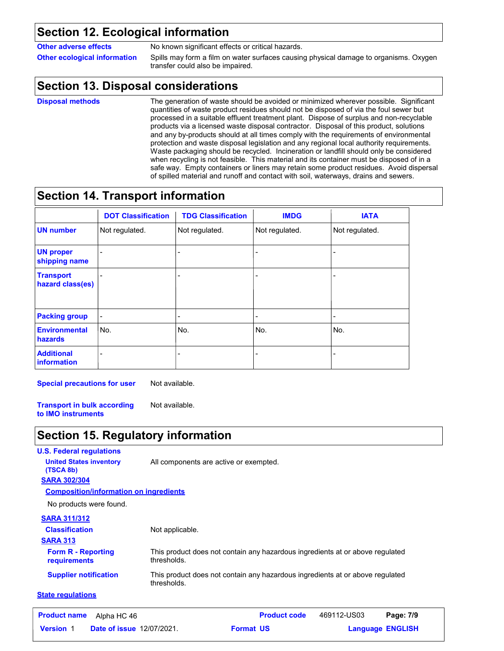#### **Section 12. Ecological information**

**Other adverse effects** No known significant effects or critical hazards.

**Other ecological information** Spills may form a film on water surfaces causing physical damage to organisms. Oxygen transfer could also be impaired.

### **Section 13. Disposal considerations**

**Disposal methods**

The generation of waste should be avoided or minimized wherever possible. Significant quantities of waste product residues should not be disposed of via the foul sewer but processed in a suitable effluent treatment plant. Dispose of surplus and non-recyclable products via a licensed waste disposal contractor. Disposal of this product, solutions and any by-products should at all times comply with the requirements of environmental protection and waste disposal legislation and any regional local authority requirements. Waste packaging should be recycled. Incineration or landfill should only be considered when recycling is not feasible. This material and its container must be disposed of in a safe way. Empty containers or liners may retain some product residues. Avoid dispersal of spilled material and runoff and contact with soil, waterways, drains and sewers.

### **Section 14. Transport information**

|                                         | <b>DOT Classification</b> | <b>TDG Classification</b> | <b>IMDG</b>    | <b>IATA</b>    |
|-----------------------------------------|---------------------------|---------------------------|----------------|----------------|
| <b>UN number</b>                        | Not regulated.            | Not regulated.            | Not regulated. | Not regulated. |
| <b>UN proper</b><br>shipping name       |                           |                           |                |                |
| <b>Transport</b><br>hazard class(es)    |                           |                           |                |                |
| <b>Packing group</b>                    |                           |                           | ٠              |                |
| <b>Environmental</b><br>hazards         | No.                       | No.                       | No.            | No.            |
| <b>Additional</b><br><b>information</b> |                           |                           |                |                |

**Special precautions for user** Not available.

**Transport in bulk according to IMO instruments** Not available.

### **Section 15. Regulatory information**

#### **U.S. Federal regulations SARA 313** This product does not contain any hazardous ingredients at or above regulated thresholds. This product does not contain any hazardous ingredients at or above regulated thresholds. **Form R - Reporting requirements Supplier notification State regulations SARA 302/304** No products were found. **Composition/information on ingredients SARA 311/312 Classification United States inventory** All components are active or exempted. **(TSCA 8b)** Not applicable.

| <b>Product name</b> | Alpha HC 46                      | <b>Product code</b> | 469112-US03 | Page: 7/9               |  |
|---------------------|----------------------------------|---------------------|-------------|-------------------------|--|
| <b>Version 1</b>    | <b>Date of issue 12/07/2021.</b> | <b>Format US</b>    |             | <b>Language ENGLISH</b> |  |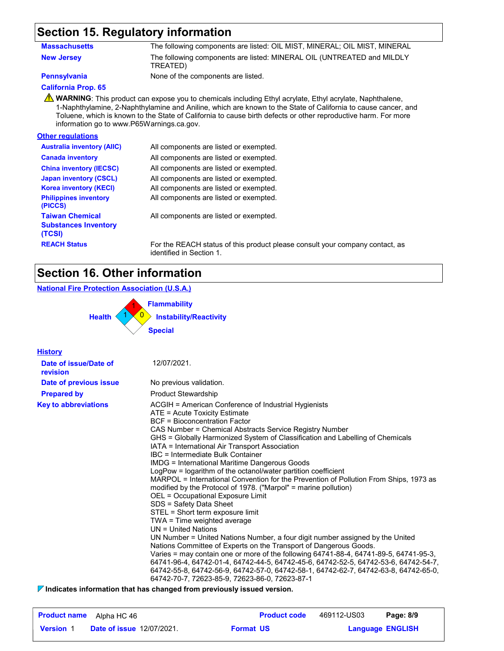### **Section 15. Regulatory information**

| Massachusetts     | The following components are listed: OIL MIST, MINERAL; OIL MIST, MINERAL          |
|-------------------|------------------------------------------------------------------------------------|
| <b>New Jersey</b> | The following components are listed: MINERAL OIL (UNTREATED and MILDLY<br>TREATED) |

**Pennsylvania** None of the components are listed.

#### **California Prop. 65**

**A** WARNING: This product can expose you to chemicals including Ethyl acrylate, Ethyl acrylate, Naphthalene, 1-Naphthylamine, 2-Naphthylamine and Aniline, which are known to the State of California to cause cancer, and Toluene, which is known to the State of California to cause birth defects or other reproductive harm. For more information go to www.P65Warnings.ca.gov.

#### **Other regulations**

| <b>Australia inventory (AIIC)</b>                               | All components are listed or exempted.      |
|-----------------------------------------------------------------|---------------------------------------------|
| <b>Canada inventory</b>                                         | All components are listed or exempted.      |
| <b>China inventory (IECSC)</b>                                  | All components are listed or exempted.      |
| <b>Japan inventory (CSCL)</b>                                   | All components are listed or exempted.      |
| <b>Korea inventory (KECI)</b>                                   | All components are listed or exempted.      |
| <b>Philippines inventory</b><br>(PICCS)                         | All components are listed or exempted.      |
| <b>Taiwan Chemical</b><br><b>Substances Inventory</b><br>(TCSI) | All components are listed or exempted.      |
| <b>REACH Status</b>                                             | For the REACH status of this product please |

ase consult your company contact, as identified in Section 1.

### **Section 16. Other information**

#### **National Fire Protection Association (U.S.A.)**



| <b>History</b>                    |                                                                                                                                                                                                                                                                                                                                                                                                                                                                                                                                                                                                                                                                                                                                                                                                                                                                                                                                                                                                                                                                                                                                                                                                                                                                                                  |
|-----------------------------------|--------------------------------------------------------------------------------------------------------------------------------------------------------------------------------------------------------------------------------------------------------------------------------------------------------------------------------------------------------------------------------------------------------------------------------------------------------------------------------------------------------------------------------------------------------------------------------------------------------------------------------------------------------------------------------------------------------------------------------------------------------------------------------------------------------------------------------------------------------------------------------------------------------------------------------------------------------------------------------------------------------------------------------------------------------------------------------------------------------------------------------------------------------------------------------------------------------------------------------------------------------------------------------------------------|
| Date of issue/Date of<br>revision | 12/07/2021.                                                                                                                                                                                                                                                                                                                                                                                                                                                                                                                                                                                                                                                                                                                                                                                                                                                                                                                                                                                                                                                                                                                                                                                                                                                                                      |
| Date of previous issue            | No previous validation.                                                                                                                                                                                                                                                                                                                                                                                                                                                                                                                                                                                                                                                                                                                                                                                                                                                                                                                                                                                                                                                                                                                                                                                                                                                                          |
| <b>Prepared by</b>                | <b>Product Stewardship</b>                                                                                                                                                                                                                                                                                                                                                                                                                                                                                                                                                                                                                                                                                                                                                                                                                                                                                                                                                                                                                                                                                                                                                                                                                                                                       |
| <b>Key to abbreviations</b>       | ACGIH = American Conference of Industrial Hygienists<br>ATE = Acute Toxicity Estimate<br><b>BCF</b> = Bioconcentration Factor<br>CAS Number = Chemical Abstracts Service Registry Number<br>GHS = Globally Harmonized System of Classification and Labelling of Chemicals<br>IATA = International Air Transport Association<br>IBC = Intermediate Bulk Container<br><b>IMDG = International Maritime Dangerous Goods</b><br>LogPow = logarithm of the octanol/water partition coefficient<br>MARPOL = International Convention for the Prevention of Pollution From Ships, 1973 as<br>modified by the Protocol of 1978. ("Marpol" = marine pollution)<br>OEL = Occupational Exposure Limit<br>SDS = Safety Data Sheet<br>STEL = Short term exposure limit<br>TWA = Time weighted average<br>$UN = United Nations$<br>UN Number = United Nations Number, a four digit number assigned by the United<br>Nations Committee of Experts on the Transport of Dangerous Goods.<br>Varies = may contain one or more of the following 64741-88-4, 64741-89-5, 64741-95-3,<br>64741-96-4, 64742-01-4, 64742-44-5, 64742-45-6, 64742-52-5, 64742-53-6, 64742-54-7,<br>64742-55-8, 64742-56-9, 64742-57-0, 64742-58-1, 64742-62-7, 64742-63-8, 64742-65-0,<br>64742-70-7, 72623-85-9, 72623-86-0, 72623-87-1 |

**Indicates information that has changed from previously issued version.**

| <b>Product name</b> | Alpha HC 46                      |                  | <b>Product code</b> | 469112-US03 | Page: 8/9               |
|---------------------|----------------------------------|------------------|---------------------|-------------|-------------------------|
| <b>Version 1</b>    | <b>Date of issue 12/07/2021.</b> | <b>Format US</b> |                     |             | <b>Language ENGLISH</b> |